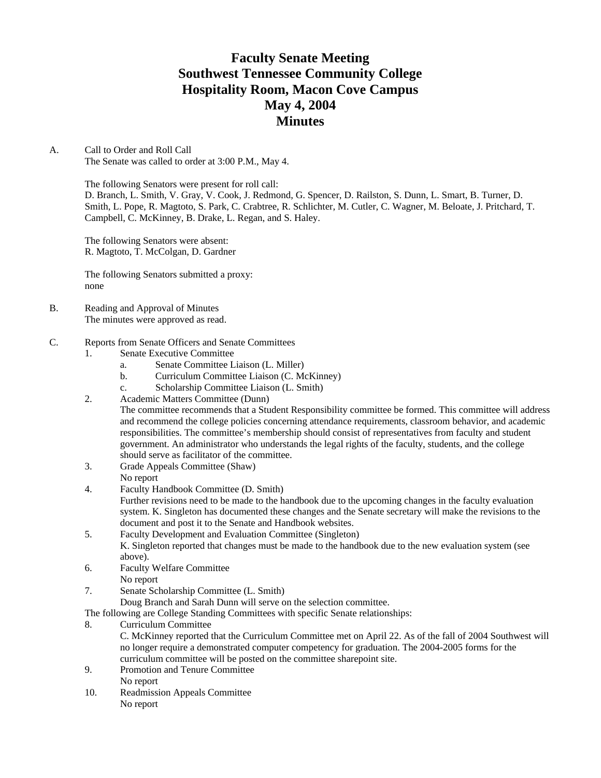## **Faculty Senate Meeting Southwest Tennessee Community College Hospitality Room, Macon Cove Campus May 4, 2004 Minutes**

### A. Call to Order and Roll Call

The Senate was called to order at 3:00 P.M., May 4.

The following Senators were present for roll call:

D. Branch, L. Smith, V. Gray, V. Cook, J. Redmond, G. Spencer, D. Railston, S. Dunn, L. Smart, B. Turner, D. Smith, L. Pope, R. Magtoto, S. Park, C. Crabtree, R. Schlichter, M. Cutler, C. Wagner, M. Beloate, J. Pritchard, T. Campbell, C. McKinney, B. Drake, L. Regan, and S. Haley.

The following Senators were absent: R. Magtoto, T. McColgan, D. Gardner

The following Senators submitted a proxy: none

- B. Reading and Approval of Minutes The minutes were approved as read.
- C. Reports from Senate Officers and Senate Committees
	- 1. Senate Executive Committee
		- a. Senate Committee Liaison (L. Miller)
		- b. Curriculum Committee Liaison (C. McKinney)
		- c. Scholarship Committee Liaison (L. Smith)
	- 2. Academic Matters Committee (Dunn)

The committee recommends that a Student Responsibility committee be formed. This committee will address and recommend the college policies concerning attendance requirements, classroom behavior, and academic responsibilities. The committee's membership should consist of representatives from faculty and student government. An administrator who understands the legal rights of the faculty, students, and the college should serve as facilitator of the committee.

- 3. Grade Appeals Committee (Shaw) No report
- 4. Faculty Handbook Committee (D. Smith)

Further revisions need to be made to the handbook due to the upcoming changes in the faculty evaluation system. K. Singleton has documented these changes and the Senate secretary will make the revisions to the document and post it to the Senate and Handbook websites.

- 5. Faculty Development and Evaluation Committee (Singleton) K. Singleton reported that changes must be made to the handbook due to the new evaluation system (see above).
- 6. Faculty Welfare Committee
- No report
- 7. Senate Scholarship Committee (L. Smith)

Doug Branch and Sarah Dunn will serve on the selection committee.

The following are College Standing Committees with specific Senate relationships:

8. Curriculum Committee

C. McKinney reported that the Curriculum Committee met on April 22. As of the fall of 2004 Southwest will no longer require a demonstrated computer competency for graduation. The 2004-2005 forms for the curriculum committee will be posted on the committee sharepoint site.

- 9. Promotion and Tenure Committee No report
- 10. Readmission Appeals Committee No report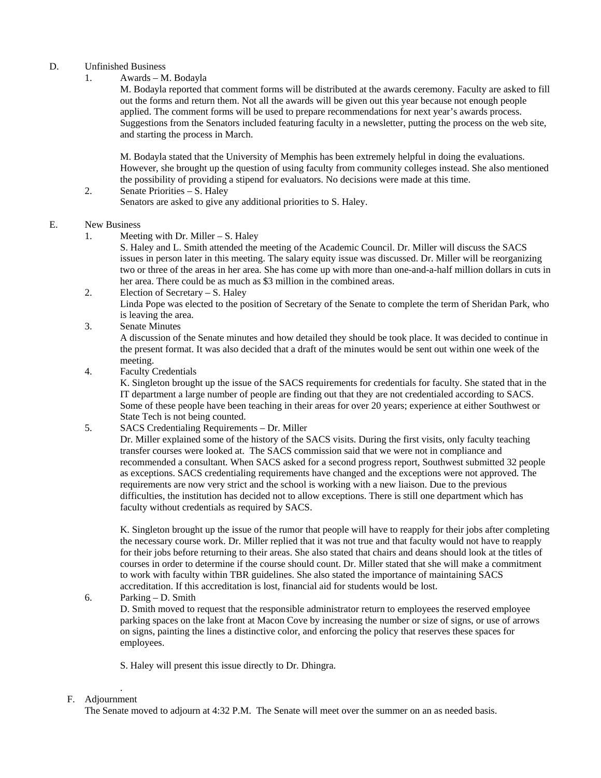## D. Unfinished Business

1. Awards – M. Bodayla

 M. Bodayla reported that comment forms will be distributed at the awards ceremony. Faculty are asked to fill out the forms and return them. Not all the awards will be given out this year because not enough people applied. The comment forms will be used to prepare recommendations for next year's awards process. Suggestions from the Senators included featuring faculty in a newsletter, putting the process on the web site, and starting the process in March.

 M. Bodayla stated that the University of Memphis has been extremely helpful in doing the evaluations. However, she brought up the question of using faculty from community colleges instead. She also mentioned the possibility of providing a stipend for evaluators. No decisions were made at this time.

 2. Senate Priorities – S. Haley Senators are asked to give any additional priorities to S. Haley.

### E. New Business

- 1. Meeting with Dr. Miller S. Haley
	- S. Haley and L. Smith attended the meeting of the Academic Council. Dr. Miller will discuss the SACS issues in person later in this meeting. The salary equity issue was discussed. Dr. Miller will be reorganizing two or three of the areas in her area. She has come up with more than one-and-a-half million dollars in cuts in her area. There could be as much as \$3 million in the combined areas.
- 2. Election of Secretary S. Haley Linda Pope was elected to the position of Secretary of the Senate to complete the term of Sheridan Park, who is leaving the area.
- 3. Senate Minutes

A discussion of the Senate minutes and how detailed they should be took place. It was decided to continue in the present format. It was also decided that a draft of the minutes would be sent out within one week of the meeting.

4. Faculty Credentials

K. Singleton brought up the issue of the SACS requirements for credentials for faculty. She stated that in the IT department a large number of people are finding out that they are not credentialed according to SACS. Some of these people have been teaching in their areas for over 20 years; experience at either Southwest or State Tech is not being counted.

5. SACS Credentialing Requirements – Dr. Miller

Dr. Miller explained some of the history of the SACS visits. During the first visits, only faculty teaching transfer courses were looked at. The SACS commission said that we were not in compliance and recommended a consultant. When SACS asked for a second progress report, Southwest submitted 32 people as exceptions. SACS credentialing requirements have changed and the exceptions were not approved. The requirements are now very strict and the school is working with a new liaison. Due to the previous difficulties, the institution has decided not to allow exceptions. There is still one department which has faculty without credentials as required by SACS.

K. Singleton brought up the issue of the rumor that people will have to reapply for their jobs after completing the necessary course work. Dr. Miller replied that it was not true and that faculty would not have to reapply for their jobs before returning to their areas. She also stated that chairs and deans should look at the titles of courses in order to determine if the course should count. Dr. Miller stated that she will make a commitment to work with faculty within TBR guidelines. She also stated the importance of maintaining SACS accreditation. If this accreditation is lost, financial aid for students would be lost.

### 6. Parking – D. Smith

D. Smith moved to request that the responsible administrator return to employees the reserved employee parking spaces on the lake front at Macon Cove by increasing the number or size of signs, or use of arrows on signs, painting the lines a distinctive color, and enforcing the policy that reserves these spaces for employees.

S. Haley will present this issue directly to Dr. Dhingra.

#### . F. Adjournment

The Senate moved to adjourn at 4:32 P.M. The Senate will meet over the summer on an as needed basis.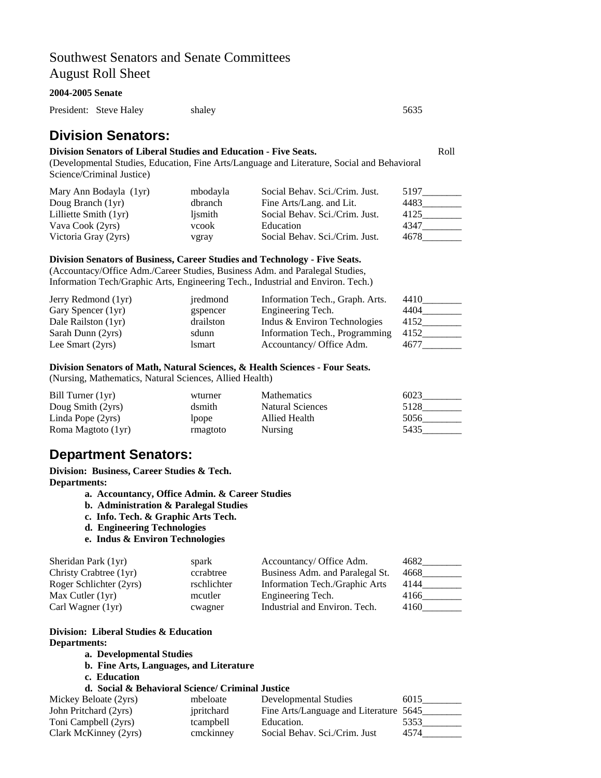## Southwest Senators and Senate Committees August Roll Sheet

#### **2004-2005 Senate**

President: Steve Haley shaley shaley 5635

## **Division Senators:**

## **Division Senators of Liberal Studies and Education - Five Seats.** The Seats of Roll

(Developmental Studies, Education, Fine Arts/Language and Literature, Social and Behavioral Science/Criminal Justice)

| Mary Ann Bodayla (1yr)  | mbodayla | Social Behav. Sci./Crim. Just. | 5197 |
|-------------------------|----------|--------------------------------|------|
| Doug Branch (1yr)       | dbranch  | Fine Arts/Lang. and Lit.       | 4483 |
| Lilliette Smith $(1yr)$ | ljsmith  | Social Behav. Sci./Crim. Just. | 4125 |
| Vava Cook (2yrs)        | vcook    | Education                      | 4347 |
| Victoria Gray (2yrs)    | vgray    | Social Behav. Sci./Crim. Just. | 4678 |

## **Division Senators of Business, Career Studies and Technology - Five Seats.**

(Accountacy/Office Adm./Career Studies, Business Adm. and Paralegal Studies, Information Tech/Graphic Arts, Engineering Tech., Industrial and Environ. Tech.)

| Jerry Redmond (1yr) | iredmond  | Information Tech., Graph. Arts. | 4410 |
|---------------------|-----------|---------------------------------|------|
| Gary Spencer (1yr)  | gspencer  | Engineering Tech.               | 4404 |
| Dale Railston (1yr) | drailston | Indus & Environ Technologies    | 4152 |
| Sarah Dunn (2yrs)   | sdunn     | Information Tech., Programming  | 4152 |
| Lee Smart (2yrs)    | lsmart    | Accountancy/ Office Adm.        | 4677 |

### **Division Senators of Math, Natural Sciences, & Health Sciences - Four Seats.**

(Nursing, Mathematics, Natural Sciences, Allied Health)

| Bill Turner (1yr)  | wturner      | <b>Mathematics</b>      | 6023 |
|--------------------|--------------|-------------------------|------|
| Doug Smith (2yrs)  | dsmith       | <b>Natural Sciences</b> | 5128 |
| Linda Pope (2yrs)  | <i>l</i> ope | Allied Health           | 5056 |
| Roma Magtoto (1yr) | rmagtoto     | <b>Nursing</b>          | 5435 |

## **Department Senators:**

**Division: Business, Career Studies & Tech. Departments:** 

- **a. Accountancy, Office Admin. & Career Studies**
- **b. Administration & Paralegal Studies**
- **c. Info. Tech. & Graphic Arts Tech.**
- **d. Engineering Technologies**
- **e. Indus & Environ Technologies**

| Sheridan Park (1yr)     | spark       | Accountancy/ Office Adm.        | 4682 |
|-------------------------|-------------|---------------------------------|------|
| Christy Crabtree (1yr)  | ccrabtree   | Business Adm. and Paralegal St. | 4668 |
| Roger Schlichter (2yrs) | rschlichter | Information Tech./Graphic Arts  | 4144 |
| Max Cutler $(1yr)$      | mcutler     | Engineering Tech.               | 4166 |
| Carl Wagner (1yr)       | cwagner     | Industrial and Environ. Tech.   | 4160 |

### **Division: Liberal Studies & Education Departments:**

- **a. Developmental Studies**
- **b. Fine Arts, Languages, and Literature**
- **c. Education**

### **d. Social & Behavioral Science/ Criminal Justice**

| Mickey Beloate (2yrs) | mbeloate   | Developmental Studies                  | 6015 |
|-----------------------|------------|----------------------------------------|------|
| John Pritchard (2yrs) | ipritchard | Fine Arts/Language and Literature 5645 |      |
| Toni Campbell (2yrs)  | tcampbell  | Education.                             | 5353 |
| Clark McKinney (2yrs) | cmckinney  | Social Behav. Sci./Crim. Just          | 4574 |